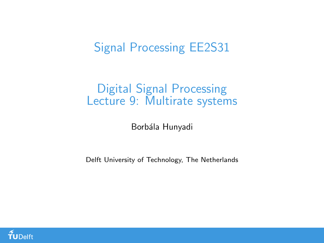## Signal Processing EE2S31

#### Digital Signal Processing Lecture 9: Multirate systems

Borbála Hunyadi

Delft University of Technology, The Netherlands

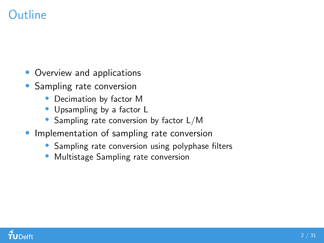## Outline

- Overview and applications
- Sampling rate conversion
	- Decimation by factor M
	- Upsampling by a factor L
	- Sampling rate conversion by factor L/M
- Implementation of sampling rate conversion
	- Sampling rate conversion using polyphase filters
	- Multistage Sampling rate conversion

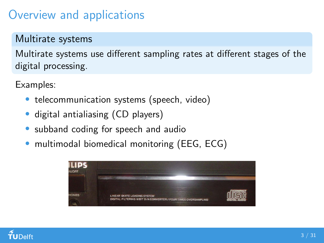## Overview and applications

#### Multirate systems

Multirate systems use different sampling rates at different stages of the digital processing.

Examples:

- telecommunication systems (speech, video)
- digital antialiasing (CD players)
- subband coding for speech and audio
- multimodal biomedical monitoring (EEG, ECG)



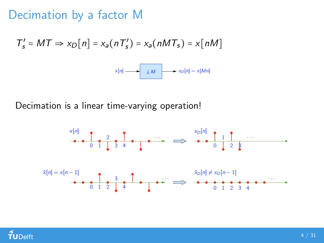## Decimation by a factor M

$$
T'_{s} = MT \Rightarrow x_{D}[n] = x_{a}(nT'_{s}) = x_{a}(nMT_{s}) = x[nM]
$$
  

$$
x[n] \xrightarrow{x[n]} x_{D}[n] = x[Mn]
$$

Decimation is a linear time-varying operation!



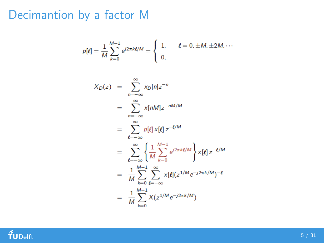## Decimantion by a factor M

$$
p[\ell] = \frac{1}{M} \sum_{k=0}^{M-1} e^{j2\pi k\ell/M} = \begin{cases} 1, & \ell = 0, \pm M, \pm 2M, \cdots \\ 0, & \end{cases}
$$

$$
X_D(z) = \sum_{n=-\infty}^{\infty} x_D[n]z^{-n}
$$
  
\n
$$
= \sum_{n=-\infty}^{\infty} x[nM]z^{-nM/M}
$$
  
\n
$$
= \sum_{\ell=-\infty}^{\infty} p[\ell] x[\ell] z^{-\ell/M}
$$
  
\n
$$
= \sum_{\ell=-\infty}^{\infty} \left\{ \frac{1}{M} \sum_{k=0}^{M-1} e^{j2\pi k\ell/M} \right\} x[\ell] z^{-\ell/M}
$$
  
\n
$$
= \frac{1}{M} \sum_{k=0}^{M-1} \sum_{\ell=-\infty}^{\infty} x[\ell] (z^{1/M} e^{-j2\pi k/M})^{-\ell}
$$
  
\n
$$
= \frac{1}{M} \sum_{k=0}^{M-1} X(z^{1/M} e^{-j2\pi k/M})
$$

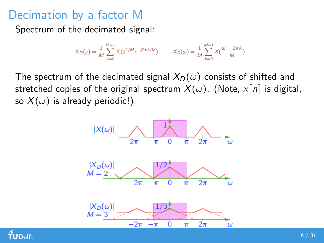## Decimation by a factor M

Spectrum of the decimated signal:

$$
X_D(z) = \frac{1}{M} \sum_{k=0}^{M-1} X(z^{1/M} e^{-j2\pi k/M}), \qquad X_D(\omega) = \frac{1}{M} \sum_{k=0}^{M-1} X(\frac{\omega - 2\pi k}{M})
$$

The spectrum of the decimated signal  $X_D(\omega)$  consists of shifted and stretched copies of the original spectrum  $X(\omega)$ . (Note,  $x[n]$  is digital, so  $X(\omega)$  is already periodic!)



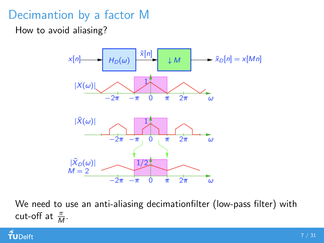## Decimantion by a factor M

How to avoid aliasing?



We need to use an anti-aliasing decimationfilter (low-pass filter) with cut-off at  $\frac{\pi}{M}$ .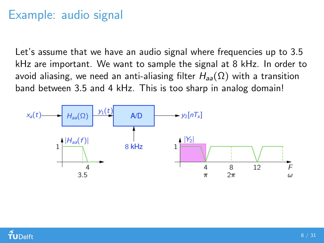## Example: audio signal

Let's assume that we have an audio signal where frequencies up to 3.5 kHz are important. We want to sample the signal at 8 kHz. In order to avoid aliasing, we need an anti-aliasing filter  $H_{aa}(\Omega)$  with a transition band between 3.5 and 4 kHz. This is too sharp in analog domain!



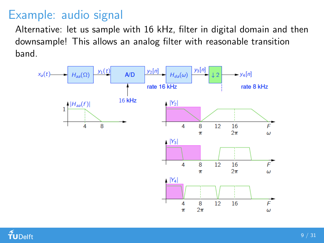## Example: audio signal

Alternative: let us sample with 16 kHz, filter in digital domain and then downsample! This allows an analog filter with reasonable transition band.



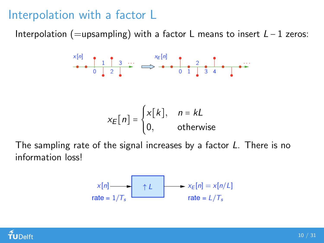## Interpolation with a factor L

Interpolation (=upsampling) with a factor L means to insert  $L - 1$  zeros:

$$
x_E[n] = \begin{cases} x[k], & n = kL \\ 0, & \text{otherwise} \end{cases}
$$

The sampling rate of the signal increases by a factor L. There is no information loss!

$$
x[n] \longrightarrow x_E[n] = x[n/L]
$$
  
rate = 1/T<sub>s</sub> rate = L/T<sub>s</sub>

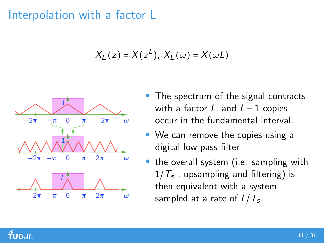## Interpolation with a factor L

$$
X_E(z) = X(z^L), X_E(\omega) = X(\omega L)
$$



- The spectrum of the signal contracts with a factor L, and  $L - 1$  copies occur in the fundamental interval.
- We can remove the copies using a digital low-pass filter
- the overall system (i.e. sampling with  $1/\mathcal{T}_s$  , upsampling and filtering) is then equivalent with a system sampled at a rate of  $L/T_s.$

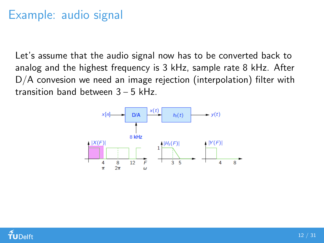## Example: audio signal

Let's assume that the audio signal now has to be converted back to analog and the highest frequency is 3 kHz, sample rate 8 kHz. After D/A convesion we need an image rejection (interpolation) filter with transition band between 3 − 5 kHz.



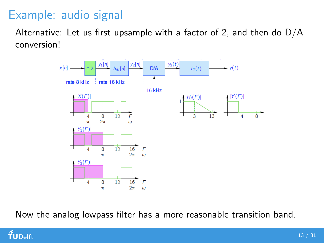## Example: audio signal

Alternative: Let us first upsample with a factor of 2, and then do  $D/A$ conversion!



Now the analog lowpass filter has a more reasonable transition band.

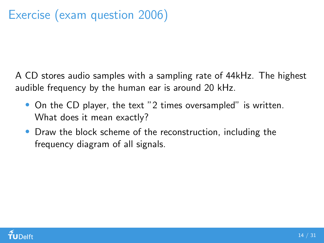A CD stores audio samples with a sampling rate of 44kHz. The highest audible frequency by the human ear is around 20 kHz.

- On the CD player, the text "2 times oversampled" is written. What does it mean exactly?
- Draw the block scheme of the reconstruction, including the frequency diagram of all signals.

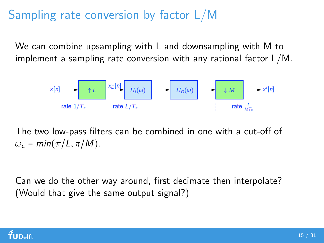## Sampling rate conversion by factor L/M

We can combine upsampling with L and downsampling with M to implement a sampling rate conversion with any rational factor L/M.



The two low-pass filters can be combined in one with a cut-off of  $\omega_c = \min(\pi/L, \pi/M).$ 

Can we do the other way around, first decimate then interpolate? (Would that give the same output signal?)

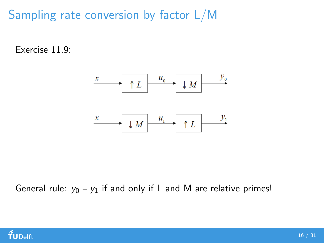Sampling rate conversion by factor L/M

Exercise 11.9:



General rule:  $y_0 = y_1$  if and only if L and M are relative primes!

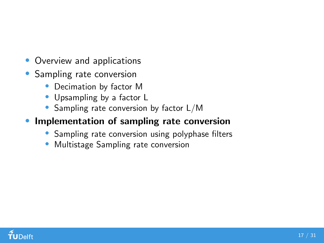- Overview and applications
- Sampling rate conversion
	- Decimation by factor M
	- Upsampling by a factor L
	- Sampling rate conversion by factor L/M
- **Implementation of sampling rate conversion** 
	- Sampling rate conversion using polyphase filters
	- Multistage Sampling rate conversion

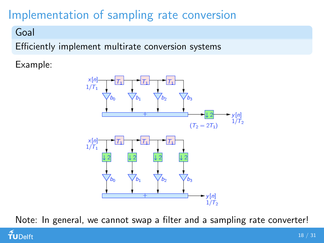# Implementation of sampling rate conversion

#### Goal

TUDelft

Efficiently implement multirate conversion systems

Example:



Note: In general, we cannot swap a filter and a sampling rate converter!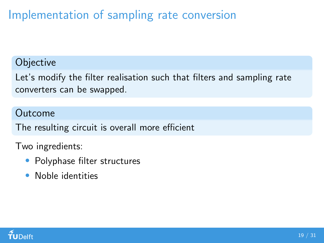# Implementation of sampling rate conversion

#### **Objective**

Let's modify the filter realisation such that filters and sampling rate converters can be swapped.

#### Outcome

The resulting circuit is overall more efficient

Two ingredients:

- Polyphase filter structures
- Noble identities

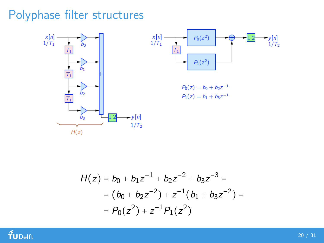## Polyphase filter structures



$$
H(z) = b_0 + b_1 z^{-1} + b_2 z^{-2} + b_3 z^{-3} =
$$
  
=  $(b_0 + b_2 z^{-2}) + z^{-1} (b_1 + b_3 z^{-2}) =$   
=  $P_0(z^2) + z^{-1} P_1(z^2)$ 

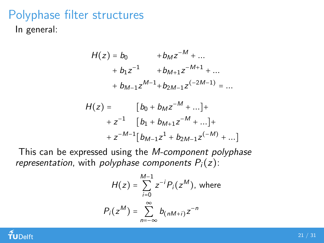## Polyphase filter structures

In general:

$$
H(z) = b_0 + b_M z^{-M} + ...
$$
  
+  $b_1 z^{-1} + b_{M+1} z^{-M+1} + ...$   
+  $b_{M-1} z^{M-1} + b_{2M-1} z^{(-2M-1)} = ...$   

$$
H(z) = [b_0 + b_M z^{-M} + ...] +
$$
  
+  $z^{-1} [b_1 + b_{M+1} z^{-M} + ...] +$   
+  $z^{-M-1} [b_{M-1} z^1 + b_{2M-1} z^{(-M)} + ...]$ 

This can be expressed using the M-component polyphase representation, with polyphase components  $P_i(z)$ :

$$
H(z) = \sum_{i=0}^{M-1} z^{-i} P_i(z^M), \text{ where}
$$
  

$$
P_i(z^M) = \sum_{n=-\infty}^{\infty} b_{(nM+i)} z^{-n}
$$

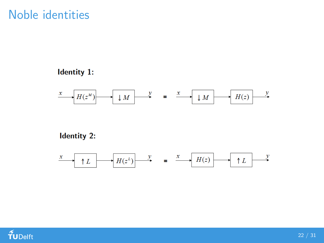### Noble identities

#### **Identity 1:**



#### **Identity 2:**



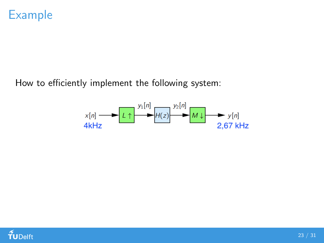

How to efficiently implement the following system:



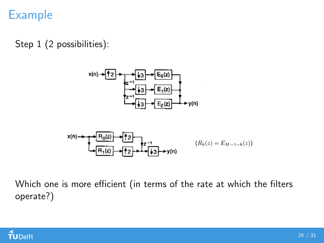## Example

Step 1 (2 possibilities):



Which one is more efficient (in terms of the rate at which the filters operate?)

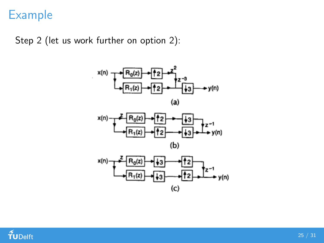## Example

Step 2 (let us work further on option 2):



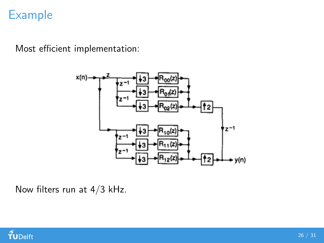## Example

Most efficient implementation:



Now filters run at 4/3 kHz.

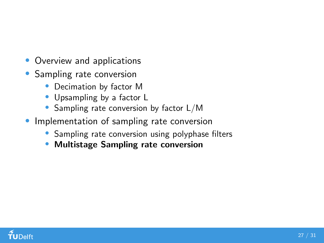- Overview and applications
- Sampling rate conversion
	- Decimation by factor M
	- Upsampling by a factor L
	- Sampling rate conversion by factor L/M
- **Implementation of sampling rate conversion** 
	- Sampling rate conversion using polyphase filters
	- Multistage Sampling rate conversion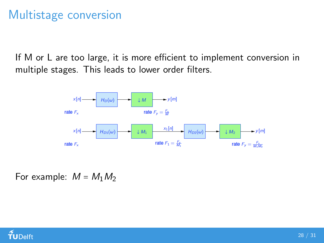## Multistage conversion

If M or L are too large, it is more efficient to implement conversion in multiple stages. This leads to lower order filters.



For example:  $M = M_1 M_2$ 

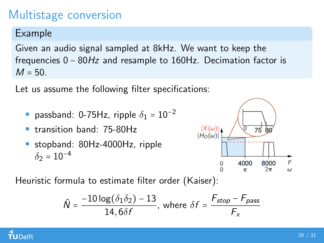## Multistage conversion

Example

Given an audio signal sampled at 8kHz. We want to keep the frequencies 0 − 80Hz and resample to 160Hz. Decimation factor is  $M = 50$ .

Let us assume the following filter specifications:

- passband: 0-75Hz, ripple  $\delta_1 = 10^{-2}$
- transition band: 75-80Hz
- stopband: 80Hz-4000Hz, ripple  $\delta_2 = 10^{-4}$



Heuristic formula to estimate filter order (Kaiser):

$$
\hat{N} = \frac{-10 \log(\delta_1 \delta_2) - 13}{14,6\delta f}, \text{ where } \delta f = \frac{F_{stop} - F_{pass}}{F_x}
$$

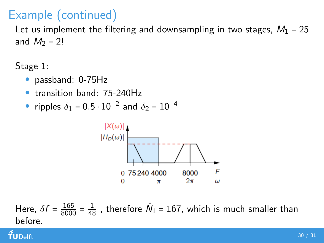# Example (continued)

Let us implement the filtering and downsampling in two stages,  $M_1 = 25$ and  $M_2 = 2!$ 

Stage 1:

- passband: 0-75Hz
- transition band: 75-240Hz
- ripples  $\delta_1 = 0.5 \cdot 10^{-2}$  and  $\delta_2 = 10^{-4}$



Here,  $\delta f = \frac{165}{8000} = \frac{1}{48}$  , therefore  $\hat{N}_1 = 167$ , which is much smaller than before.